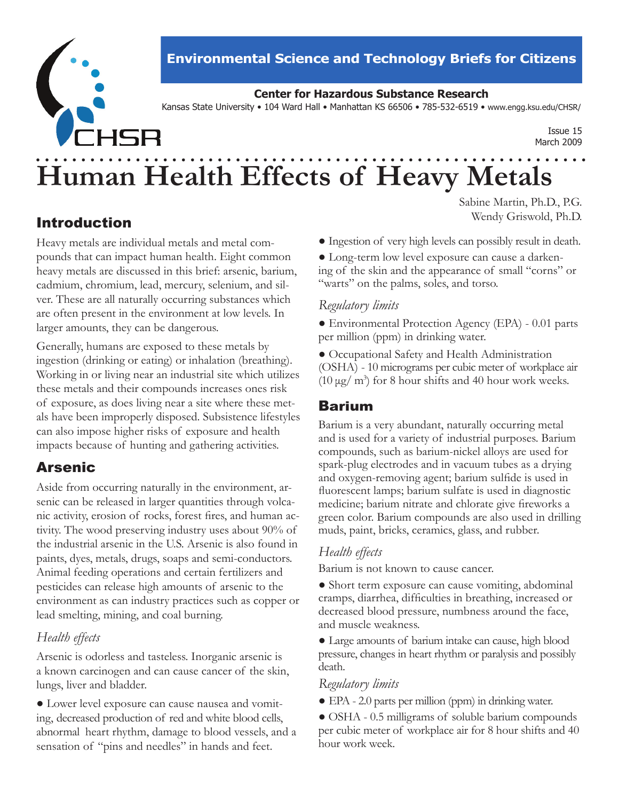

# **Environmental Science and Technology Briefs for Citizens**

## **Center for Hazardous Substance Research**

Kansas State University • 104 Ward Hall • Manhattan KS 66506 • 785-532-6519 • www.engg.ksu.edu/CHSR/

Issue 15 March 2009

# **Human Health Effects of Heavy Metals**

# Introduction

Heavy metals are individual metals and metal compounds that can impact human health. Eight common heavy metals are discussed in this brief: arsenic, barium, cadmium, chromium, lead, mercury, selenium, and silver. These are all naturally occurring substances which are often present in the environment at low levels. In larger amounts, they can be dangerous.

Generally, humans are exposed to these metals by ingestion (drinking or eating) or inhalation (breathing). Working in or living near an industrial site which utilizes these metals and their compounds increases ones risk of exposure, as does living near a site where these metals have been improperly disposed. Subsistence lifestyles can also impose higher risks of exposure and health impacts because of hunting and gathering activities.

# Arsenic

Aside from occurring naturally in the environment, arsenic can be released in larger quantities through volcanic activity, erosion of rocks, forest fires, and human activity. The wood preserving industry uses about 90% of the industrial arsenic in the U.S. Arsenic is also found in paints, dyes, metals, drugs, soaps and semi-conductors. Animal feeding operations and certain fertilizers and pesticides can release high amounts of arsenic to the environment as can industry practices such as copper or lead smelting, mining, and coal burning.

# *Health effects*

Arsenic is odorless and tasteless. Inorganic arsenic is a known carcinogen and can cause cancer of the skin, lungs, liver and bladder.

● Lower level exposure can cause nausea and vomiting, decreased production of red and white blood cells, abnormal heart rhythm, damage to blood vessels, and a sensation of "pins and needles" in hands and feet.

Sabine Martin, Ph.D., P.G. Wendy Griswold, Ph.D.

- Ingestion of very high levels can possibly result in death.
- Long-term low level exposure can cause a darkening of the skin and the appearance of small "corns" or "warts" on the palms, soles, and torso.

## *Regulatory limits*

● Environmental Protection Agency (EPA) - 0.01 parts per million (ppm) in drinking water.

● Occupational Safety and Health Administration (OSHA) - 10 micrograms per cubic meter of workplace air  $(10 \mu g/m^3)$  for 8 hour shifts and 40 hour work weeks.

# Barium

Barium is a very abundant, naturally occurring metal and is used for a variety of industrial purposes. Barium compounds, such as barium-nickel alloys are used for spark-plug electrodes and in vacuum tubes as a drying and oxygen-removing agent; barium sulfide is used in fluorescent lamps; barium sulfate is used in diagnostic medicine; barium nitrate and chlorate give fireworks a green color. Barium compounds are also used in drilling muds, paint, bricks, ceramics, glass, and rubber.

# *Health effects*

Barium is not known to cause cancer.

• Short term exposure can cause vomiting, abdominal cramps, diarrhea, difficulties in breathing, increased or decreased blood pressure, numbness around the face, and muscle weakness.

● Large amounts of barium intake can cause, high blood pressure, changes in heart rhythm or paralysis and possibly death.

## *Regulatory limits*

● EPA - 2.0 parts per million (ppm) in drinking water.

● OSHA - 0.5 milligrams of soluble barium compounds per cubic meter of workplace air for 8 hour shifts and 40 hour work week.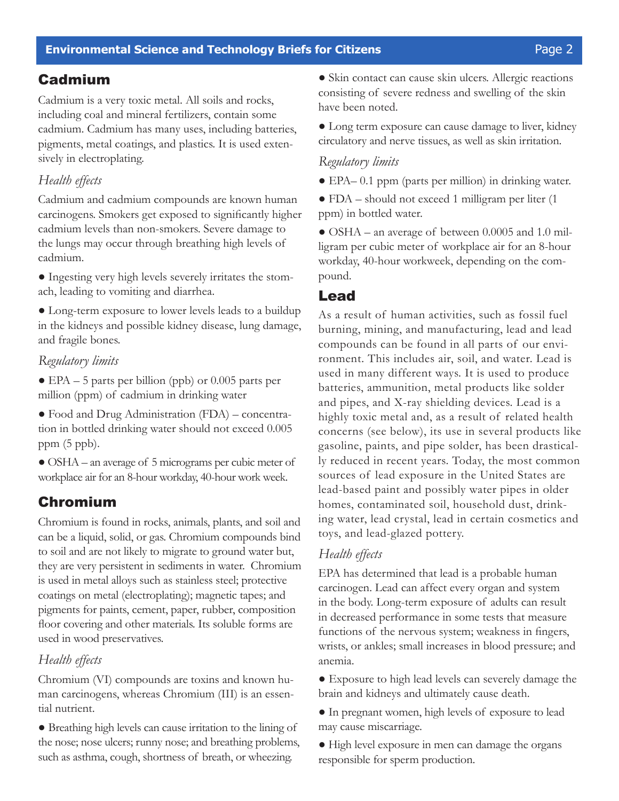# Cadmium

Cadmium is a very toxic metal. All soils and rocks, including coal and mineral fertilizers, contain some cadmium. Cadmium has many uses, including batteries, pigments, metal coatings, and plastics. It is used extensively in electroplating.

## *Health effects*

Cadmium and cadmium compounds are known human carcinogens. Smokers get exposed to significantly higher cadmium levels than non-smokers. Severe damage to the lungs may occur through breathing high levels of cadmium.

● Ingesting very high levels severely irritates the stomach, leading to vomiting and diarrhea.

● Long-term exposure to lower levels leads to a buildup in the kidneys and possible kidney disease, lung damage, and fragile bones.

#### *Regulatory limits*

 $\bullet$  EPA – 5 parts per billion (ppb) or 0.005 parts per million (ppm) of cadmium in drinking water

● Food and Drug Administration (FDA) – concentration in bottled drinking water should not exceed 0.005 ppm (5 ppb).

● OSHA – an average of 5 micrograms per cubic meter of workplace air for an 8-hour workday, 40-hour work week.

# Chromium

Chromium is found in rocks, animals, plants, and soil and can be a liquid, solid, or gas. Chromium compounds bind to soil and are not likely to migrate to ground water but, they are very persistent in sediments in water. Chromium is used in metal alloys such as stainless steel; protective coatings on metal (electroplating); magnetic tapes; and pigments for paints, cement, paper, rubber, composition floor covering and other materials. Its soluble forms are used in wood preservatives.

## *Health effects*

Chromium (VI) compounds are toxins and known human carcinogens, whereas Chromium (III) is an essential nutrient.

● Breathing high levels can cause irritation to the lining of the nose; nose ulcers; runny nose; and breathing problems, such as asthma, cough, shortness of breath, or wheezing.

● Skin contact can cause skin ulcers. Allergic reactions consisting of severe redness and swelling of the skin have been noted.

● Long term exposure can cause damage to liver, kidney circulatory and nerve tissues, as well as skin irritation.

#### *Regulatory limits*

● EPA– 0.1 ppm (parts per million) in drinking water.

● FDA – should not exceed 1 milligram per liter (1 ppm) in bottled water.

• OSHA – an average of between 0.0005 and 1.0 milligram per cubic meter of workplace air for an 8-hour workday, 40-hour workweek, depending on the compound.

## Lead

As a result of human activities, such as fossil fuel burning, mining, and manufacturing, lead and lead compounds can be found in all parts of our environment. This includes air, soil, and water. Lead is used in many different ways. It is used to produce batteries, ammunition, metal products like solder and pipes, and X-ray shielding devices. Lead is a highly toxic metal and, as a result of related health concerns (see below), its use in several products like gasoline, paints, and pipe solder, has been drastically reduced in recent years. Today, the most common sources of lead exposure in the United States are lead-based paint and possibly water pipes in older homes, contaminated soil, household dust, drinking water, lead crystal, lead in certain cosmetics and toys, and lead-glazed pottery.

#### *Health effects*

EPA has determined that lead is a probable human carcinogen. Lead can affect every organ and system in the body. Long-term exposure of adults can result in decreased performance in some tests that measure functions of the nervous system; weakness in fingers, wrists, or ankles; small increases in blood pressure; and anemia.

● Exposure to high lead levels can severely damage the brain and kidneys and ultimately cause death.

● In pregnant women, high levels of exposure to lead may cause miscarriage.

● High level exposure in men can damage the organs responsible for sperm production.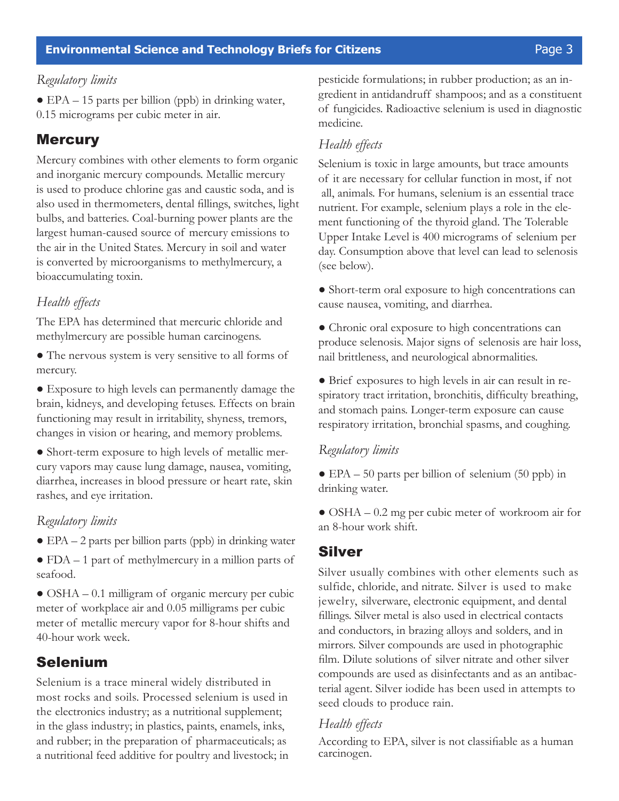#### **Environmental Science and Technology Briefs for Citizens Page 3** Page 3

#### *Regulatory limits*

 $\bullet$  EPA – 15 parts per billion (ppb) in drinking water, 0.15 micrograms per cubic meter in air.

## **Mercury**

Mercury combines with other elements to form organic and inorganic mercury compounds. Metallic mercury is used to produce chlorine gas and caustic soda, and is also used in thermometers, dental fillings, switches, light bulbs, and batteries. Coal-burning power plants are the largest human-caused source of mercury emissions to the air in the United States. Mercury in soil and water is converted by microorganisms to methylmercury, a bioaccumulating toxin.

## *Health effects*

The EPA has determined that mercuric chloride and methylmercury are possible human carcinogens.

● The nervous system is very sensitive to all forms of mercury.

● Exposure to high levels can permanently damage the brain, kidneys, and developing fetuses. Effects on brain functioning may result in irritability, shyness, tremors, changes in vision or hearing, and memory problems.

● Short-term exposure to high levels of metallic mercury vapors may cause lung damage, nausea, vomiting, diarrhea, increases in blood pressure or heart rate, skin rashes, and eye irritation.

#### *Regulatory limits*

 $\bullet$  EPA – 2 parts per billion parts (ppb) in drinking water

● FDA – 1 part of methylmercury in a million parts of seafood.

• OSHA – 0.1 milligram of organic mercury per cubic meter of workplace air and 0.05 milligrams per cubic meter of metallic mercury vapor for 8-hour shifts and 40-hour work week.

## Selenium

Selenium is a trace mineral widely distributed in most rocks and soils. Processed selenium is used in the electronics industry; as a nutritional supplement; in the glass industry; in plastics, paints, enamels, inks, and rubber; in the preparation of pharmaceuticals; as a nutritional feed additive for poultry and livestock; in pesticide formulations; in rubber production; as an ingredient in antidandruff shampoos; and as a constituent of fungicides. Radioactive selenium is used in diagnostic medicine.

#### *Health effects*

Selenium is toxic in large amounts, but trace amounts of it are necessary for cellular function in most, if not all, animals. For humans, selenium is an essential trace nutrient. For example, selenium plays a role in the element functioning of the thyroid gland. The Tolerable Upper Intake Level is 400 micrograms of selenium per day. Consumption above that level can lead to selenosis (see below).

- Short-term oral exposure to high concentrations can cause nausea, vomiting, and diarrhea.
- Chronic oral exposure to high concentrations can produce selenosis. Major signs of selenosis are hair loss, nail brittleness, and neurological abnormalities.

● Brief exposures to high levels in air can result in respiratory tract irritation, bronchitis, difficulty breathing, and stomach pains. Longer-term exposure can cause respiratory irritation, bronchial spasms, and coughing.

#### *Regulatory limits*

● EPA – 50 parts per billion of selenium (50 ppb) in drinking water.

● OSHA – 0.2 mg per cubic meter of workroom air for an 8-hour work shift.

## Silver

Silver usually combines with other elements such as sulfide, chloride, and nitrate. Silver is used to make jewelry, silverware, electronic equipment, and dental fillings. Silver metal is also used in electrical contacts and conductors, in brazing alloys and solders, and in mirrors. Silver compounds are used in photographic film. Dilute solutions of silver nitrate and other silver compounds are used as disinfectants and as an antibacterial agent. Silver iodide has been used in attempts to seed clouds to produce rain.

#### *Health effects*

According to EPA, silver is not classifiable as a human carcinogen.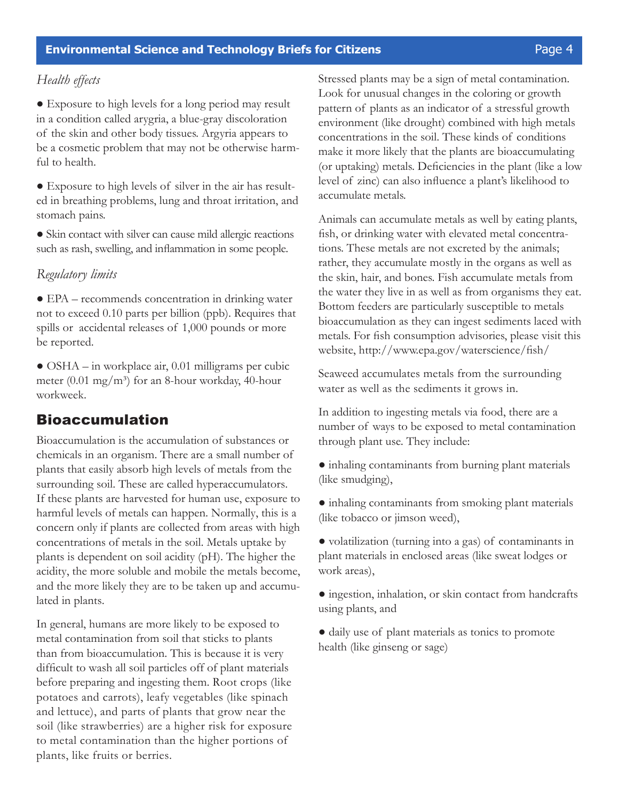#### **Environmental Science and Technology Briefs for Citizens Page 4** Page 4

#### *Health effects*

● Exposure to high levels for a long period may result in a condition called arygria, a blue-gray discoloration of the skin and other body tissues. Argyria appears to be a cosmetic problem that may not be otherwise harmful to health.

● Exposure to high levels of silver in the air has resulted in breathing problems, lung and throat irritation, and stomach pains.

• Skin contact with silver can cause mild allergic reactions such as rash, swelling, and inflammation in some people.

#### *Regulatory limits*

● EPA – recommends concentration in drinking water not to exceed 0.10 parts per billion (ppb). Requires that spills or accidental releases of 1,000 pounds or more be reported.

 $\bullet$  OSHA – in workplace air, 0.01 milligrams per cubic meter  $(0.01 \text{ mg/m}^3)$  for an 8-hour workday, 40-hour workweek.

# Bioaccumulation

Bioaccumulation is the accumulation of substances or chemicals in an organism. There are a small number of plants that easily absorb high levels of metals from the surrounding soil. These are called hyperaccumulators. If these plants are harvested for human use, exposure to harmful levels of metals can happen. Normally, this is a concern only if plants are collected from areas with high concentrations of metals in the soil. Metals uptake by plants is dependent on soil acidity (pH). The higher the acidity, the more soluble and mobile the metals become, and the more likely they are to be taken up and accumulated in plants.

In general, humans are more likely to be exposed to metal contamination from soil that sticks to plants than from bioaccumulation. This is because it is very difficult to wash all soil particles off of plant materials before preparing and ingesting them. Root crops (like potatoes and carrots), leafy vegetables (like spinach and lettuce), and parts of plants that grow near the soil (like strawberries) are a higher risk for exposure to metal contamination than the higher portions of plants, like fruits or berries.

Stressed plants may be a sign of metal contamination. Look for unusual changes in the coloring or growth pattern of plants as an indicator of a stressful growth environment (like drought) combined with high metals concentrations in the soil. These kinds of conditions make it more likely that the plants are bioaccumulating (or uptaking) metals. Deficiencies in the plant (like a low level of zinc) can also influence a plant's likelihood to accumulate metals.

Animals can accumulate metals as well by eating plants, fish, or drinking water with elevated metal concentrations. These metals are not excreted by the animals; rather, they accumulate mostly in the organs as well as the skin, hair, and bones. Fish accumulate metals from the water they live in as well as from organisms they eat. Bottom feeders are particularly susceptible to metals bioaccumulation as they can ingest sediments laced with metals. For fish consumption advisories, please visit this website, http://www.epa.gov/waterscience/fish/

Seaweed accumulates metals from the surrounding water as well as the sediments it grows in.

In addition to ingesting metals via food, there are a number of ways to be exposed to metal contamination through plant use. They include:

● inhaling contaminants from burning plant materials (like smudging),

● inhaling contaminants from smoking plant materials (like tobacco or jimson weed),

● volatilization (turning into a gas) of contaminants in plant materials in enclosed areas (like sweat lodges or work areas),

● ingestion, inhalation, or skin contact from handcrafts using plants, and

● daily use of plant materials as tonics to promote health (like ginseng or sage)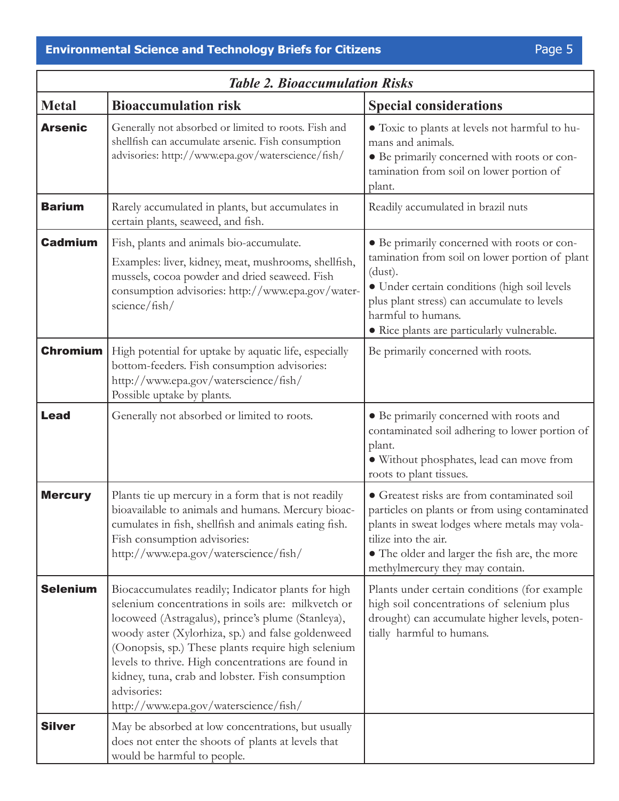| <b>Table 2. Bioaccumulation Risks</b> |                                                                                                                                                                                                                                                                                                                                                                                                                                            |                                                                                                                                                                                                                                                                             |
|---------------------------------------|--------------------------------------------------------------------------------------------------------------------------------------------------------------------------------------------------------------------------------------------------------------------------------------------------------------------------------------------------------------------------------------------------------------------------------------------|-----------------------------------------------------------------------------------------------------------------------------------------------------------------------------------------------------------------------------------------------------------------------------|
| <b>Metal</b>                          | <b>Bioaccumulation risk</b>                                                                                                                                                                                                                                                                                                                                                                                                                | <b>Special considerations</b>                                                                                                                                                                                                                                               |
| <b>Arsenic</b>                        | Generally not absorbed or limited to roots. Fish and<br>shellfish can accumulate arsenic. Fish consumption<br>advisories: http://www.epa.gov/waterscience/fish/                                                                                                                                                                                                                                                                            | • Toxic to plants at levels not harmful to hu-<br>mans and animals.<br>• Be primarily concerned with roots or con-<br>tamination from soil on lower portion of<br>plant.                                                                                                    |
| <b>Barium</b>                         | Rarely accumulated in plants, but accumulates in<br>certain plants, seaweed, and fish.                                                                                                                                                                                                                                                                                                                                                     | Readily accumulated in brazil nuts                                                                                                                                                                                                                                          |
| <b>Cadmium</b>                        | Fish, plants and animals bio-accumulate.<br>Examples: liver, kidney, meat, mushrooms, shellfish,<br>mussels, cocoa powder and dried seaweed. Fish<br>consumption advisories: http://www.epa.gov/water-<br>science/fish/                                                                                                                                                                                                                    | • Be primarily concerned with roots or con-<br>tamination from soil on lower portion of plant<br>(dust).<br>· Under certain conditions (high soil levels<br>plus plant stress) can accumulate to levels<br>harmful to humans.<br>· Rice plants are particularly vulnerable. |
| <b>Chromium</b>                       | High potential for uptake by aquatic life, especially<br>bottom-feeders. Fish consumption advisories:<br>http://www.epa.gov/waterscience/fish/<br>Possible uptake by plants.                                                                                                                                                                                                                                                               | Be primarily concerned with roots.                                                                                                                                                                                                                                          |
| <b>Lead</b>                           | Generally not absorbed or limited to roots.                                                                                                                                                                                                                                                                                                                                                                                                | • Be primarily concerned with roots and<br>contaminated soil adhering to lower portion of<br>plant.<br>· Without phosphates, lead can move from<br>roots to plant tissues.                                                                                                  |
| <b>Mercury</b>                        | Plants tie up mercury in a form that is not readily<br>bioavailable to animals and humans. Mercury bioac-<br>cumulates in fish, shellfish and animals eating fish.<br>Fish consumption advisories:<br>http://www.epa.gov/waterscience/fish/                                                                                                                                                                                                | • Greatest risks are from contaminated soil<br>particles on plants or from using contaminated<br>plants in sweat lodges where metals may vola-<br>tilize into the air.<br>• The older and larger the fish are, the more<br>methylmercury they may contain.                  |
| <b>Selenium</b>                       | Biocaccumulates readily; Indicator plants for high<br>selenium concentrations in soils are: milkvetch or<br>locoweed (Astragalus), prince's plume (Stanleya),<br>woody aster (Xylorhiza, sp.) and false goldenweed<br>(Oonopsis, sp.) These plants require high selenium<br>levels to thrive. High concentrations are found in<br>kidney, tuna, crab and lobster. Fish consumption<br>advisories:<br>http://www.epa.gov/waterscience/fish/ | Plants under certain conditions (for example<br>high soil concentrations of selenium plus<br>drought) can accumulate higher levels, poten-<br>tially harmful to humans.                                                                                                     |
| <b>Silver</b>                         | May be absorbed at low concentrations, but usually<br>does not enter the shoots of plants at levels that<br>would be harmful to people.                                                                                                                                                                                                                                                                                                    |                                                                                                                                                                                                                                                                             |

٦